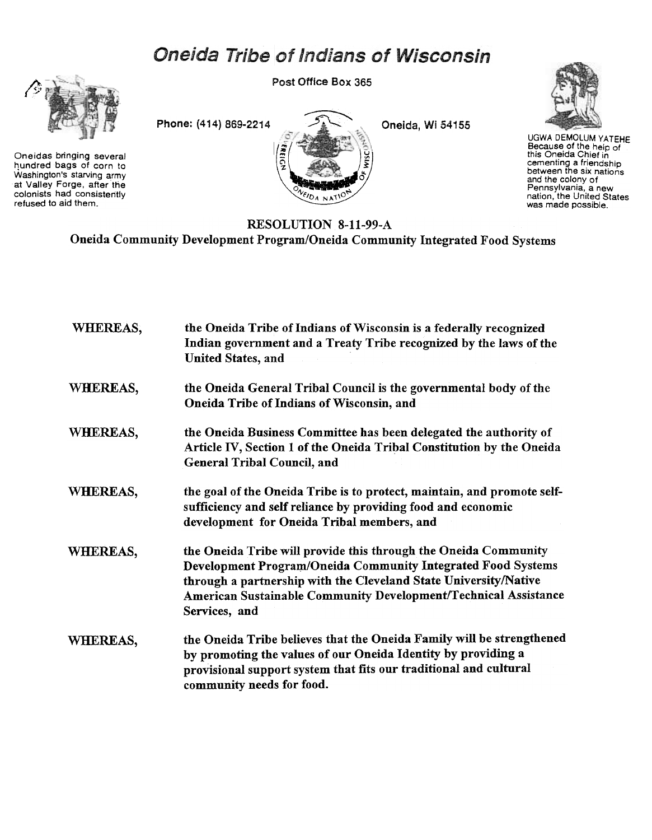## Oneida Tribe of Indians of Wisconsin



Oneidas bringing several hundred bags of corn to Washington's starving army at Valley Forge, after the colonists had consistently refused to aid them.





UGWA DEMOLUM YATEHE Because of the heip of<br>this Oneida Chief in cementing a friendshij<br>between the six nation and the colony of Pennsylvania, a new<br>nation, the United State was made possible.

## RESOLUTION 8-11-99-A Oneida Community Development Program/Oneida Community Integrated Food Systems

| WHEREAS, | the Oneida Tribe of Indians of Wisconsin is a federally recognized<br>Indian government and a Treaty Tribe recognized by the laws of the<br><b>United States, and</b>                                                                                                                   |
|----------|-----------------------------------------------------------------------------------------------------------------------------------------------------------------------------------------------------------------------------------------------------------------------------------------|
| WHEREAS, | the Oneida General Tribal Council is the governmental body of the<br>Oneida Tribe of Indians of Wisconsin, and                                                                                                                                                                          |
| WHEREAS, | the Oneida Business Committee has been delegated the authority of<br>Article IV, Section 1 of the Oneida Tribal Constitution by the Oneida<br><b>General Tribal Council, and</b>                                                                                                        |
| WHEREAS, | the goal of the Oneida Tribe is to protect, maintain, and promote self-<br>sufficiency and self reliance by providing food and economic<br>development for Oneida Tribal members, and                                                                                                   |
| WHEREAS, | the Oneida Tribe will provide this through the Oneida Community<br>Development Program/Oneida Community Integrated Food Systems<br>through a partnership with the Cleveland State University/Native<br>American Sustainable Community Development/Technical Assistance<br>Services, and |
| WHEREAS, | the Oneida Tribe believes that the Oneida Family will be strengthened<br>by promoting the values of our Oneida Identity by providing a<br>provisional support system that fits our traditional and cultural<br>community needs for food.                                                |